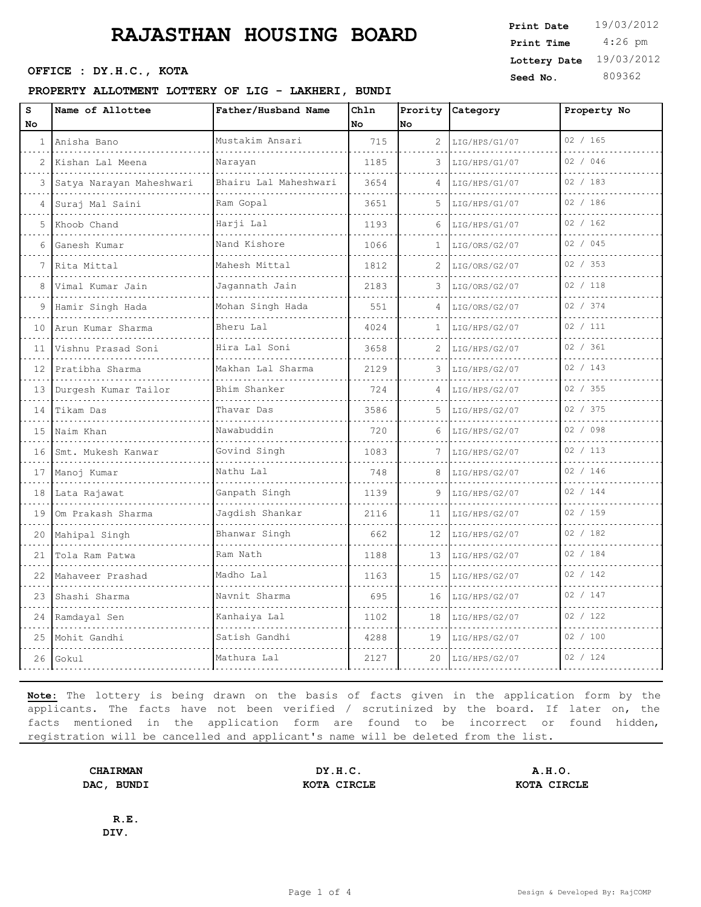#### **PROPERTY ALLOTMENT LOTTERY OF LIG - LAKHERI, BUNDI**

| S            | Name of Allottee         | Father/Husband Name                           | Chln |              | Prority Category | Property No |
|--------------|--------------------------|-----------------------------------------------|------|--------------|------------------|-------------|
| No.          |                          |                                               | No   | No           |                  |             |
| $\mathbf{1}$ | Anisha Bano              | Mustakim Ansari                               | 715  | 2            | LIG/HPS/G1/07    | 02 / 165    |
| 2            | Kishan Lal Meena         | Narayan                                       | 1185 | 3            | LIG/HPS/G1/07    | 02 / 046    |
| 3            | Satya Narayan Maheshwari | Bhairu Lal Maheshwari                         | 3654 | 4            | LIG/HPS/G1/07    | 02 / 183    |
| 4            | Suraj Mal Saini          | Ram Gopal                                     | 3651 | 5            | LIG/HPS/G1/07    | 02 / 186    |
| 5            | Khoob Chand              | Harji Lal                                     | 1193 | 6            | LIG/HPS/G1/07    | 02 / 162    |
| 6            | Ganesh Kumar<br>.        | Nand Kishore<br>and the second control of the | 1066 | $\mathbf{1}$ | LIG/ORS/G2/07    | 02 / 045    |
| 7            | Rita Mittal              | Mahesh Mittal                                 | 1812 | 2            | LIG/ORS/G2/07    | 02 / 353    |
| 8            | Vimal Kumar Jain         | Jagannath Jain                                | 2183 | 3            | LIG/ORS/G2/07    | 02 / 118    |
| 9            | Hamir Singh Hada         | Mohan Singh Hada                              | 551  | $\Delta$     | LIG/ORS/G2/07    | 02 / 374    |
| 10           | Arun Kumar Sharma        | Bheru Lal                                     | 4024 | 1            | LIG/HPS/G2/07    | 02 / 111    |
| 11           | Vishnu Prasad Soni       | Hira Lal Soni                                 | 3658 | 2            | LIG/HPS/G2/07    | 02 / 361    |
| 12           | Pratibha Sharma          | Makhan Lal Sharma<br>.                        | 2129 | 3            | LIG/HPS/G2/07    | 02 / 143    |
| 13           | Durgesh Kumar Tailor     | Bhim Shanker                                  | 724  | 4            | LIG/HPS/G2/07    | 02 / 355    |
| 14           | Tikam Das                | Thavar Das                                    | 3586 | 5            | LIG/HPS/G2/07    | 02 / 375    |
| 15           | Naim Khan                | Nawabuddin<br>.                               | 720  |              | LIG/HPS/G2/07    | 02 / 098    |
| 16           | Smt. Mukesh Kanwar       | Govind Singh                                  | 1083 |              | LIG/HPS/G2/07    | 02 / 113    |
| 17           | Manoj Kumar              | Nathu Lal                                     | 748  | 8            | LIG/HPS/G2/07    | 02 / 146    |
| 18           | Lata Rajawat             | Ganpath Singh<br>.                            | 1139 | 9            | LIG/HPS/G2/07    | 02 / 144    |
| 19           | Om Prakash Sharma        | Jagdish Shankar                               | 2116 | 11           | LIG/HPS/G2/07    | 02 / 159    |
| 20           | Mahipal Singh            | Bhanwar Singh                                 | 662  | 12           | LIG/HPS/G2/07    | 02 / 182    |
| 21           | Tola Ram Patwa           | Ram Nath                                      | 1188 | 13           | LIG/HPS/G2/07    | 02 / 184    |
| 22           | Mahaveer Prashad         | Madho Lal                                     | 1163 | 15           | LIG/HPS/G2/07    | 02 / 142    |
| 23           | Shashi Sharma            | Navnit Sharma                                 | 695  | 16           | LIG/HPS/G2/07    | 02 / 147    |
| 24           | Ramdayal Sen             | Kanhaiya Lal                                  | 1102 | 18           | LIG/HPS/G2/07    | 02 / 122    |
| 25           | Mohit Gandhi             | Satish Gandhi                                 | 4288 | 19           | LIG/HPS/G2/07    | 02 / 100    |
| 26           | Gokul                    | Mathura Lal                                   | 2127 | 20           | LIG/HPS/G2/07    | 02 / 124    |
|              |                          |                                               |      |              |                  |             |

**Note:** The lottery is being drawn on the basis of facts given in the application form by the applicants. The facts have not been verified / scrutinized by the board. If later on, the facts mentioned in the application form are found to be incorrect or found hidden, registration will be cancelled and applicant's name will be deleted from the list.

**CHAIRMAN DY.H.C. A.H.O. DAC, BUNDI KOTA CIRCLE KOTA CIRCLE**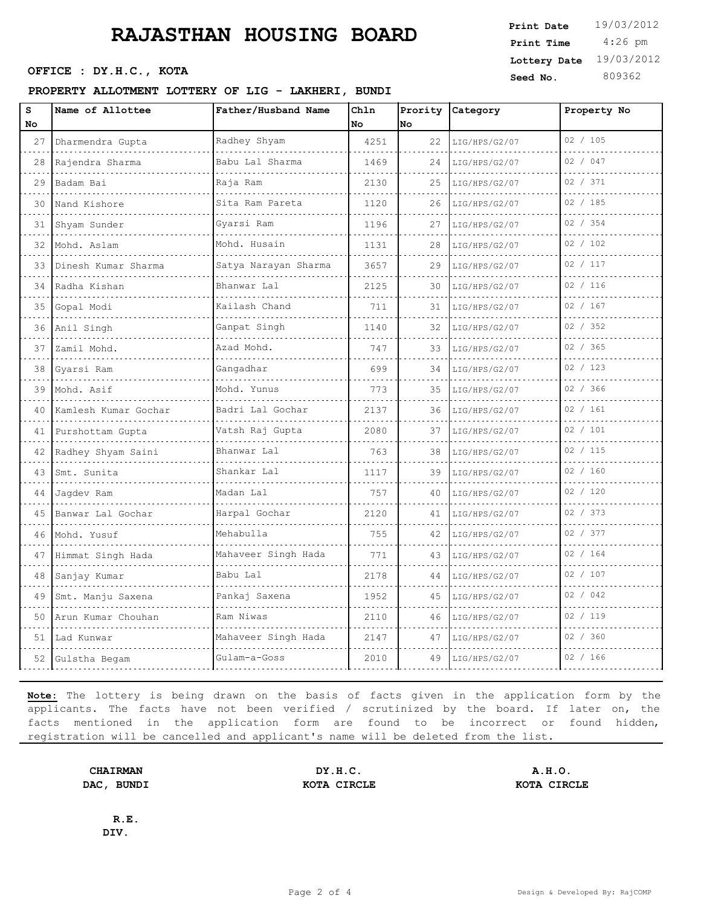#### **PROPERTY ALLOTMENT LOTTERY OF LIG - LAKHERI, BUNDI**

| No<br>27<br>28 | Dharmendra Gupta      | Father/Husband Name          |      |    | Prority Category | Property No |
|----------------|-----------------------|------------------------------|------|----|------------------|-------------|
|                |                       |                              | No   | No |                  |             |
|                |                       | Radhey Shyam                 | 4251 | 22 | LIG/HPS/G2/07    | 02 / 105    |
|                | Rajendra Sharma       | Babu Lal Sharma              | 1469 | 24 | LIG/HPS/G2/07    | 02 / 047    |
| 29             | Badam Bai<br>.        | Raja Ram                     | 2130 | 25 | LIG/HPS/G2/07    | 02 / 371    |
| 30             | Nand Kishore          | Sita Ram Pareta              | 1120 | 26 | LIG/HPS/G2/07    | 02 / 185    |
| 31             | Shyam Sunder          | Gyarsi Ram                   | 1196 | 27 | LIG/HPS/G2/07    | 02 / 354    |
| 32             | Mohd. Aslam           | Mohd. Husain<br>.            | 1131 | 28 | LIG/HPS/G2/07    | 02 / 102    |
| 33             | Dinesh Kumar Sharma   | Satya Narayan Sharma         | 3657 | 29 | LIG/HPS/G2/07    | 02 / 117    |
| 34             | Radha Kishan          | Bhanwar Lal                  | 2125 | 30 | LIG/HPS/G2/07    | 02 / 116    |
| 35             | Gopal Modi            | Kailash Chand<br>.           | 711  | 31 | LIG/HPS/G2/07    | 02 / 167    |
| 36             | Anil Singh            | Ganpat Singh                 | 1140 | 32 | LIG/HPS/G2/07    | 02 / 352    |
| 37             | Zamil Mohd.           | Azad Mohd.                   | 747  | 33 | LIG/HPS/G2/07    | 02 / 365    |
| 38             | Gyarsi Ram            | Gangadhar                    | 699  | 34 | LIG/HPS/G2/07    | 02 / 123    |
| 39             | Mohd. Asif            | Mohd. Yunus                  | 773  | 35 | LIG/HPS/G2/07    | 02 / 366    |
| 40             | Kamlesh Kumar Gochar  | Badri Lal Gochar             | 2137 | 36 | LIG/HPS/G2/07    | 02 / 161    |
| 41             | Purshottam Gupta<br>. | Vatsh Raj Gupta<br><u>.</u>  | 2080 | 37 | LIG/HPS/G2/07    | 02 / 101    |
| 42             | Radhey Shyam Saini    | Bhanwar Lal                  | 763  | 38 | LIG/HPS/G2/07    | 02 / 115    |
| 43             | Smt. Sunita           | Shankar Lal                  | 1117 | 39 | LIG/HPS/G2/07    | 02 / 160    |
| 44             | Jaqdev Ram            | Madan Lal<br>dia a dia a dia | 757  | 40 | LIG/HPS/G2/07    | 02 / 120    |
| 45             | Banwar Lal Gochar     | Harpal Gochar                | 2120 | 41 | LIG/HPS/G2/07    | 02 / 373    |
| 46             | Mohd. Yusuf           | Mehabulla                    | 755  | 42 | LIG/HPS/G2/07    | 02 / 377    |
| 47             | Himmat Singh Hada     | Mahaveer Singh Hada          | 771  | 43 | LIG/HPS/G2/07    | 02 / 164    |
| 48             | Sanjay Kumar          | Babu Lal                     | 2178 | 44 | LIG/HPS/G2/07    | 02 / 107    |
| 49             | Smt. Manju Saxena     | Pankaj Saxena                | 1952 | 45 | LIG/HPS/G2/07    | 02 / 042    |
| 50             | Arun Kumar Chouhan    | Ram Niwas                    | 2110 | 46 | LIG/HPS/G2/07    | 02 / 119    |
| 51             | Lad Kunwar            | Mahaveer Singh Hada          | 2147 | 47 | LIG/HPS/G2/07    | 02 / 360    |
| 52             | Gulstha Begam         | Gulam-a-Goss                 | 2010 | 49 | LIG/HPS/G2/07    | 02 / 166    |

**Note:** The lottery is being drawn on the basis of facts given in the application form by the applicants. The facts have not been verified / scrutinized by the board. If later on, the facts mentioned in the application form are found to be incorrect or found hidden, registration will be cancelled and applicant's name will be deleted from the list.

**CHAIRMAN DY.H.C. A.H.O. DAC, BUNDI KOTA CIRCLE KOTA CIRCLE**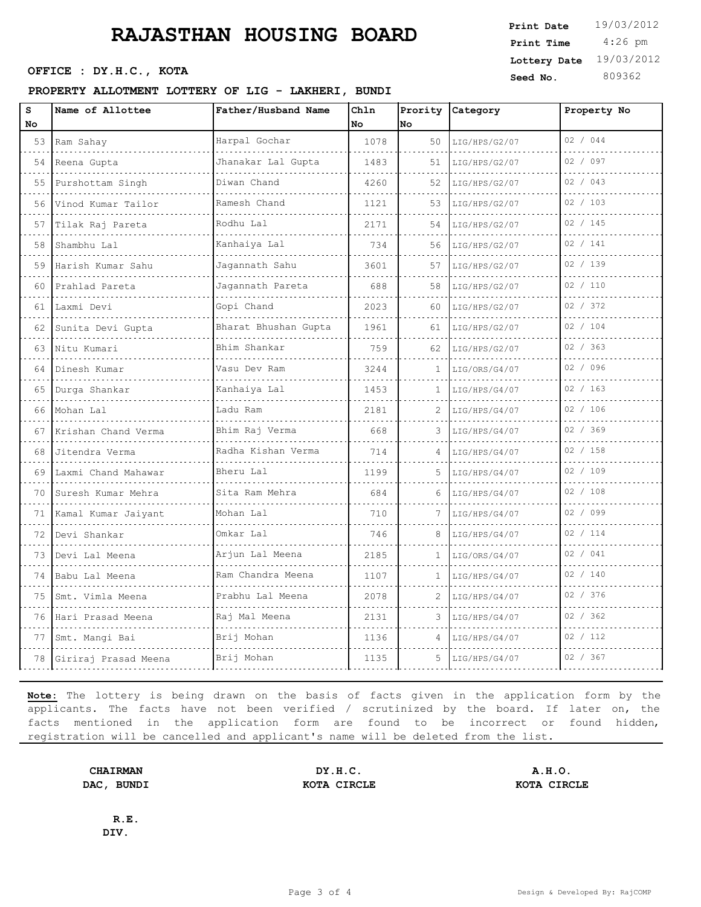### **PROPERTY ALLOTMENT LOTTERY OF LIG - LAKHERI, BUNDI**

| s  | Name of Allottee      | Father/Husband Name  | Chln |    | Prority Category | Property No |
|----|-----------------------|----------------------|------|----|------------------|-------------|
| No |                       |                      | No   | No |                  |             |
| 53 | Ram Sahay             | Harpal Gochar        | 1078 | 50 | LIG/HPS/G2/07    | 02 / 044    |
| 54 | Reena Gupta           | Jhanakar Lal Gupta   | 1483 | 51 | LIG/HPS/G2/07    | 02 / 097    |
| 55 | Purshottam Singh<br>. | Diwan Chand<br>.     | 4260 | 52 | LIG/HPS/G2/07    | 02 / 043    |
| 56 | Vinod Kumar Tailor    | Ramesh Chand         | 1121 | 53 | LIG/HPS/G2/07    | 02 / 103    |
| 57 | Tilak Raj Pareta      | Rodhu Lal            | 2171 | 54 | LIG/HPS/G2/07    | 02 / 145    |
| 58 | Shambhu Lal<br>.      | Kanhaiya Lal<br>.    | 734  | 56 | LIG/HPS/G2/07    | 02 / 141    |
| 59 | Harish Kumar Sahu     | Jagannath Sahu       | 3601 | 57 | LIG/HPS/G2/07    | 02 / 139    |
| 60 | Prahlad Pareta        | Jagannath Pareta     | 688  | 58 | LIG/HPS/G2/07    | 02 / 110    |
| 61 | Laxmi Devi<br>.       | Gopi Chand<br>.      | 2023 | 60 | LIG/HPS/G2/07    | 02 / 372    |
| 62 | Sunita Devi Gupta     | Bharat Bhushan Gupta | 1961 | 61 | LIG/HPS/G2/07    | 02 / 104    |
| 63 | Nitu Kumari           | Bhim Shankar         | 759  | 62 | LIG/HPS/G2/07    | 02 / 363    |
| 64 | Dinesh Kumar          | Vasu Dev Ram<br>.    | 3244 | 1  | LIG/ORS/G4/07    | 02 / 096    |
| 65 | Durga Shankar         | Kanhaiya Lal         | 1453 | 1  | LIG/HPS/G4/07    | 02 / 163    |
| 66 | Mohan Lal             | Ladu Ram             | 2181 | 2  | LIG/HPS/G4/07    | 02 / 106    |
| 67 | Krishan Chand Verma   | Bhim Raj Verma<br>.  | 668  | 3  | LIG/HPS/G4/07    | 02 / 369    |
| 68 | Jitendra Verma        | Radha Kishan Verma   | 714  |    | LIG/HPS/G4/07    | 02 / 158    |
| 69 | Laxmi Chand Mahawar   | Bheru Lal            | 1199 | 5  | LIG/HPS/G4/07    | 02 / 109    |
| 70 | Suresh Kumar Mehra    | Sita Ram Mehra<br>.  | 684  |    | LIG/HPS/G4/07    | 02 / 108    |
| 71 | Kamal Kumar Jaiyant   | Mohan Lal            | 710  |    | LIG/HPS/G4/07    | 02 / 099    |
| 72 | Devi Shankar          | Omkar Lal            | 746  | 8  | LIG/HPS/G4/07    | 02 / 114    |
| 73 | Devi Lal Meena        | Arjun Lal Meena      | 2185 | 1  | LIG/ORS/G4/07    | 02 / 041    |
| 74 | Babu Lal Meena        | Ram Chandra Meena    | 1107 |    | LIG/HPS/G4/07    | 02 / 140    |
| 75 | Smt. Vimla Meena      | Prabhu Lal Meena     | 2078 | 2  | LIG/HPS/G4/07    | 02 / 376    |
| 76 | Hari Prasad Meena     | Raj Mal Meena        | 2131 |    | LIG/HPS/G4/07    | 02 / 362    |
| 77 | Smt. Mangi Bai        | Brij Mohan           | 1136 | 4  | LIG/HPS/G4/07    | 02 / 112    |
| 78 | Giriraj Prasad Meena  | Brij Mohan           | 1135 | 5. | LIG/HPS/G4/07    | 02 / 367    |
|    |                       |                      |      |    |                  |             |

**Note:** The lottery is being drawn on the basis of facts given in the application form by the applicants. The facts have not been verified / scrutinized by the board. If later on, the facts mentioned in the application form are found to be incorrect or found hidden, registration will be cancelled and applicant's name will be deleted from the list.

**CHAIRMAN DY.H.C. A.H.O. DAC, BUNDI KOTA CIRCLE KOTA CIRCLE**